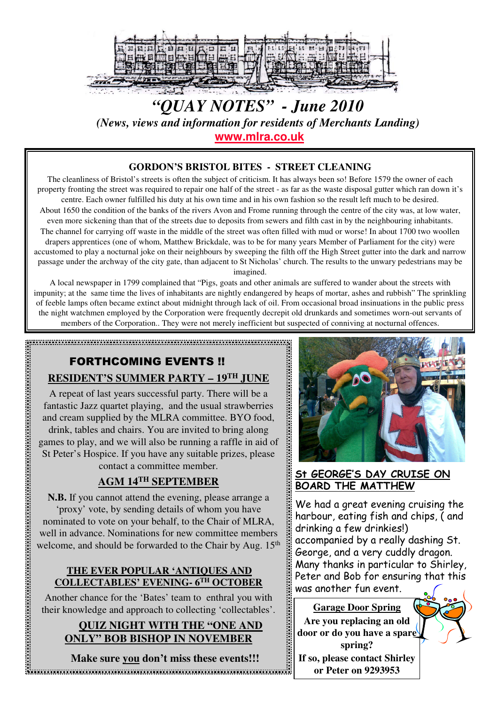

# *"QUAY NOTES" - June 2010 (News, views and information for residents of Merchants Landing)* **www.mlra.co.uk**

### **GORDON'S BRISTOL BITES - STREET CLEANING**

The cleanliness of Bristol's streets is often the subject of criticism. It has always been so! Before 1579 the owner of each property fronting the street was required to repair one half of the street - as far as the waste disposal gutter which ran down it's centre. Each owner fulfilled his duty at his own time and in his own fashion so the result left much to be desired.

About 1650 the condition of the banks of the rivers Avon and Frome running through the centre of the city was, at low water, even more sickening than that of the streets due to deposits from sewers and filth cast in by the neighbouring inhabitants. The channel for carrying off waste in the middle of the street was often filled with mud or worse! In about 1700 two woollen drapers apprentices (one of whom, Matthew Brickdale, was to be for many years Member of Parliament for the city) were accustomed to play a nocturnal joke on their neighbours by sweeping the filth off the High Street gutter into the dark and narrow passage under the archway of the city gate, than adjacent to St Nicholas' church. The results to the unwary pedestrians may be imagined.

A local newspaper in 1799 complained that "Pigs, goats and other animals are suffered to wander about the streets with impunity; at the same time the lives of inhabitants are nightly endangered by heaps of mortar, ashes and rubbish" The sprinkling of feeble lamps often became extinct about midnight through lack of oil. From occasional broad insinuations in the public press the night watchmen employed by the Corporation were frequently decrepit old drunkards and sometimes worn-out servants of members of the Corporation.. They were not merely inefficient but suspected of conniving at nocturnal offences.

## FORTHCOMING EVENTS !! **RESIDENT'S SUMMER PARTY – 19TH JUNE**

A repeat of last years successful party. There will be a fantastic Jazz quartet playing, and the usual strawberries and cream supplied by the MLRA committee. BYO food, drink, tables and chairs. You are invited to bring along games to play, and we will also be running a raffle in aid of St Peter's Hospice. If you have any suitable prizes, please contact a committee member.

#### **AGM 14TH SEPTEMBER**

**N.B.** If you cannot attend the evening, please arrange a 'proxy' vote, by sending details of whom you have nominated to vote on your behalf, to the Chair of MLRA, well in advance. Nominations for new committee members welcome, and should be forwarded to the Chair by Aug. 15<sup>th</sup>

#### **THE EVER POPULAR 'ANTIQUES AND COLLECTABLES' EVENING- 6TH OCTOBER**

Another chance for the 'Bates' team to enthral you with their knowledge and approach to collecting 'collectables'.

## **QUIZ NIGHT WITH THE "ONE AND ONLY" BOB BISHOP IN NOVEMBER**

**Make sure you don't miss these events!!!**



## St GEORGE'S DAY CRUISE ON BOARD THE MATTHEW

We had a great evening cruising the harbour, eating fish and chips, ( and drinking a few drinkies!) accompanied by a really dashing St. George, and a very cuddly dragon. Many thanks in particular to Shirley, Peter and Bob for ensuring that this was another fun event.

**Garage Door Spring Are you replacing an old door or do you have a spare spring?**



**If so, please contact Shirley or Peter on 9293953**